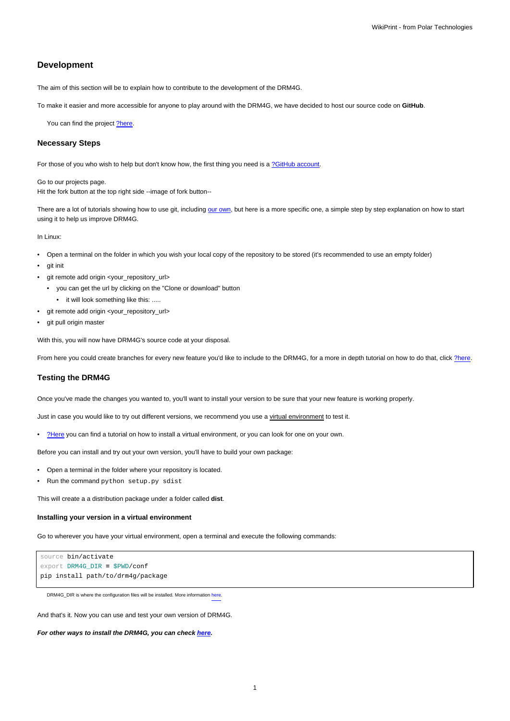# **Development**

The aim of this section will be to explain how to contribute to the development of the DRM4G.

To make it easier and more accessible for anyone to play around with the DRM4G, we have decided to host our source code on **GitHub**.

You can find the project [?here.](https://github.com/SantanderMetGroup/DRM4G)

### **Necessary Steps**

For those of you who wish to help but don't know how, the first thing you need is a [?GitHub account](https://github.com/join?source=header-home).

Go to our projects page. Hit the fork button at the top right side --image of fork button--

There are a lot of tutorials showing how to use git, including [our own](https://meteo.unican.es/trac/wiki/versionControl/git), but here is a more specific one, a simple step by step explanation on how to start using it to help us improve DRM4G.

In Linux:

- Open a terminal on the folder in which you wish your local copy of the repository to be stored (it's recommended to use an empty folder)
- git init
- git remote add origin <your\_repository\_url>
	- you can get the url by clicking on the "Clone or download" button
- it will look something like this: .....
- git remote add origin <your\_repository\_url>
- git pull origin master

With this, you will now have DRM4G's source code at your disposal.

From here you could create branches for every new feature you'd like to include to the DRM4G, for a more in depth tutorial on how to do that, click [?here](https://git-scm.com/book/en/v2/Git-Branching-Basic-Branching-and-Merging).

#### **Testing the DRM4G**

Once you've made the changes you wanted to, you'll want to install your version to be sure that your new feature is working properly.

Just in case you would like to try out different versions, we recommend you use a virtual environment to test it.

• [?Here](http://pythoncentral.io/how-to-install-virtualenv-python/) you can find a tutorial on how to install a virtual environment, or you can look for one on your own.

Before you can install and try out your own version, you'll have to build your own package:

- Open a terminal in the folder where your repository is located.
- Run the command python setup.py sdist

This will create a a distribution package under a folder called **dist**.

#### **Installing your version in a virtual environment**

Go to wherever you have your virtual environment, open a terminal and execute the following commands:

```
source bin/activate
export DRM4G_DIR = $PWD/conf
pip install path/to/drm4g/package
```
DRM4G\_DIR is where the configuration files will be installed. More information [here](https://meteo.unican.es/trac/wiki/DRM4G/Installation#OptionalEnvironmentVariables).

And that's it. Now you can use and test your own version of DRM4G.

**For other ways to install the DRM4G, you can check [here](https://meteo.unican.es/trac/wiki/DRM4G/Installation).**